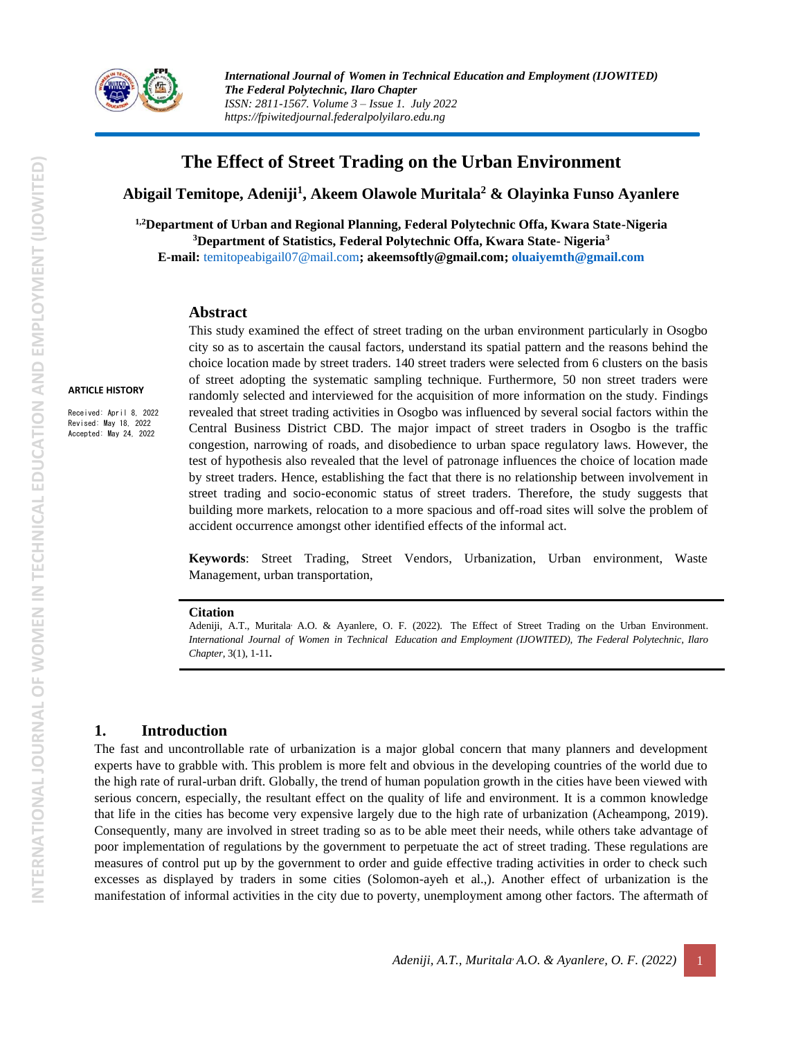

# **The Effect of Street Trading on the Urban Environment**

**Abigail Temitope, Adeniji<sup>1</sup> , Akeem Olawole Muritala<sup>2</sup> & Olayinka Funso Ayanlere**

**1,2Department of Urban and Regional Planning, Federal Polytechnic Offa, Kwara State-Nigeria <sup>3</sup>Department of Statistics, Federal Polytechnic Offa, Kwara State- Nigeria<sup>3</sup> E-mail:** [temitopeabigail07@mail.com](mailto:temitopeabigail07@mail.com)**; akeemsoftly@gmail.com; [oluaiyemth@gmail.com](mailto:oluaiyemth@gmail.com)**

#### **Abstract**

#### **ARTICLE HISTORY**

Received: April 8, 2022 Revised: May 18, 2022 Accepted: May 24, 2022

This study examined the effect of street trading on the urban environment particularly in Osogbo city so as to ascertain the causal factors, understand its spatial pattern and the reasons behind the choice location made by street traders. 140 street traders were selected from 6 clusters on the basis of street adopting the systematic sampling technique. Furthermore, 50 non street traders were randomly selected and interviewed for the acquisition of more information on the study. Findings revealed that street trading activities in Osogbo was influenced by several social factors within the Central Business District CBD. The major impact of street traders in Osogbo is the traffic congestion, narrowing of roads, and disobedience to urban space regulatory laws. However, the test of hypothesis also revealed that the level of patronage influences the choice of location made by street traders. Hence, establishing the fact that there is no relationship between involvement in street trading and socio-economic status of street traders. Therefore, the study suggests that building more markets, relocation to a more spacious and off-road sites will solve the problem of accident occurrence amongst other identified effects of the informal act.

**Keywords**: Street Trading, Street Vendors, Urbanization, Urban environment, Waste Management, urban transportation,

#### **Citation**

Adeniji, A.T., Muritala<sup>,</sup> A.O. & Ayanlere, O. F. (2022). The Effect of Street Trading on the Urban Environment. *International Journal of Women in Technical Education and Employment (IJOWITED), The Federal Polytechnic, Ilaro Chapter*, 3(1), 1-11**.**

#### **1. Introduction**

The fast and uncontrollable rate of urbanization is a major global concern that many planners and development experts have to grabble with. This problem is more felt and obvious in the developing countries of the world due to the high rate of rural-urban drift. Globally, the trend of human population growth in the cities have been viewed with serious concern, especially, the resultant effect on the quality of life and environment. It is a common knowledge that life in the cities has become very expensive largely due to the high rate of urbanization (Acheampong, 2019). Consequently, many are involved in street trading so as to be able meet their needs, while others take advantage of poor implementation of regulations by the government to perpetuate the act of street trading. These regulations are measures of control put up by the government to order and guide effective trading activities in order to check such excesses as displayed by traders in some cities (Solomon-ayeh et al.,). Another effect of urbanization is the manifestation of informal activities in the city due to poverty, unemployment among other factors. The aftermath of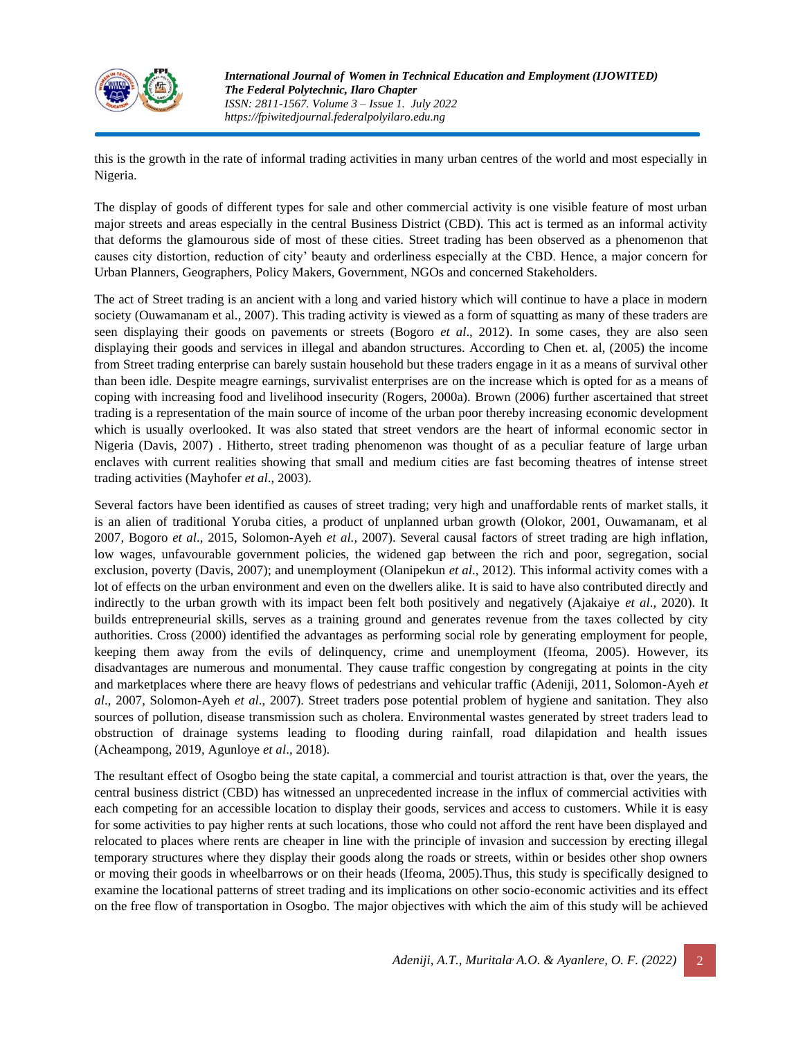

this is the growth in the rate of informal trading activities in many urban centres of the world and most especially in Nigeria.

The display of goods of different types for sale and other commercial activity is one visible feature of most urban major streets and areas especially in the central Business District (CBD). This act is termed as an informal activity that deforms the glamourous side of most of these cities. Street trading has been observed as a phenomenon that causes city distortion, reduction of city' beauty and orderliness especially at the CBD. Hence, a major concern for Urban Planners, Geographers, Policy Makers, Government, NGOs and concerned Stakeholders.

The act of Street trading is an ancient with a long and varied history which will continue to have a place in modern society (Ouwamanam et al., 2007). This trading activity is viewed as a form of squatting as many of these traders are seen displaying their goods on pavements or streets (Bogoro *et al*., 2012). In some cases, they are also seen displaying their goods and services in illegal and abandon structures. According to Chen et. al, (2005) the income from Street trading enterprise can barely sustain household but these traders engage in it as a means of survival other than been idle. Despite meagre earnings, survivalist enterprises are on the increase which is opted for as a means of coping with increasing food and livelihood insecurity (Rogers, 2000a). Brown (2006) further ascertained that street trading is a representation of the main source of income of the urban poor thereby increasing economic development which is usually overlooked. It was also stated that street vendors are the heart of informal economic sector in Nigeria (Davis, 2007) . Hitherto, street trading phenomenon was thought of as a peculiar feature of large urban enclaves with current realities showing that small and medium cities are fast becoming theatres of intense street trading activities (Mayhofer *et al*., 2003).

Several factors have been identified as causes of street trading; very high and unaffordable rents of market stalls, it is an alien of traditional Yoruba cities, a product of unplanned urban growth (Olokor, 2001, Ouwamanam, et al 2007, Bogoro *et al*., 2015, Solomon-Ayeh *et al.,* 2007). Several causal factors of street trading are high inflation, low wages, unfavourable government policies, the widened gap between the rich and poor, segregation, social exclusion, poverty (Davis, 2007); and unemployment (Olanipekun *et al*., 2012). This informal activity comes with a lot of effects on the urban environment and even on the dwellers alike. It is said to have also contributed directly and indirectly to the urban growth with its impact been felt both positively and negatively (Ajakaiye *et al*., 2020). It builds entrepreneurial skills, serves as a training ground and generates revenue from the taxes collected by city authorities. Cross (2000) identified the advantages as performing social role by generating employment for people, keeping them away from the evils of delinquency, crime and unemployment (Ifeoma, 2005). However, its disadvantages are numerous and monumental. They cause traffic congestion by congregating at points in the city and marketplaces where there are heavy flows of pedestrians and vehicular traffic (Adeniji, 2011, Solomon-Ayeh *et al*., 2007, Solomon-Ayeh *et al*., 2007). Street traders pose potential problem of hygiene and sanitation. They also sources of pollution, disease transmission such as cholera. Environmental wastes generated by street traders lead to obstruction of drainage systems leading to flooding during rainfall, road dilapidation and health issues (Acheampong, 2019, Agunloye *et al*., 2018).

The resultant effect of Osogbo being the state capital, a commercial and tourist attraction is that, over the years, the central business district (CBD) has witnessed an unprecedented increase in the influx of commercial activities with each competing for an accessible location to display their goods, services and access to customers. While it is easy for some activities to pay higher rents at such locations, those who could not afford the rent have been displayed and relocated to places where rents are cheaper in line with the principle of invasion and succession by erecting illegal temporary structures where they display their goods along the roads or streets, within or besides other shop owners or moving their goods in wheelbarrows or on their heads (Ifeoma, 2005).Thus, this study is specifically designed to examine the locational patterns of street trading and its implications on other socio-economic activities and its effect on the free flow of transportation in Osogbo. The major objectives with which the aim of this study will be achieved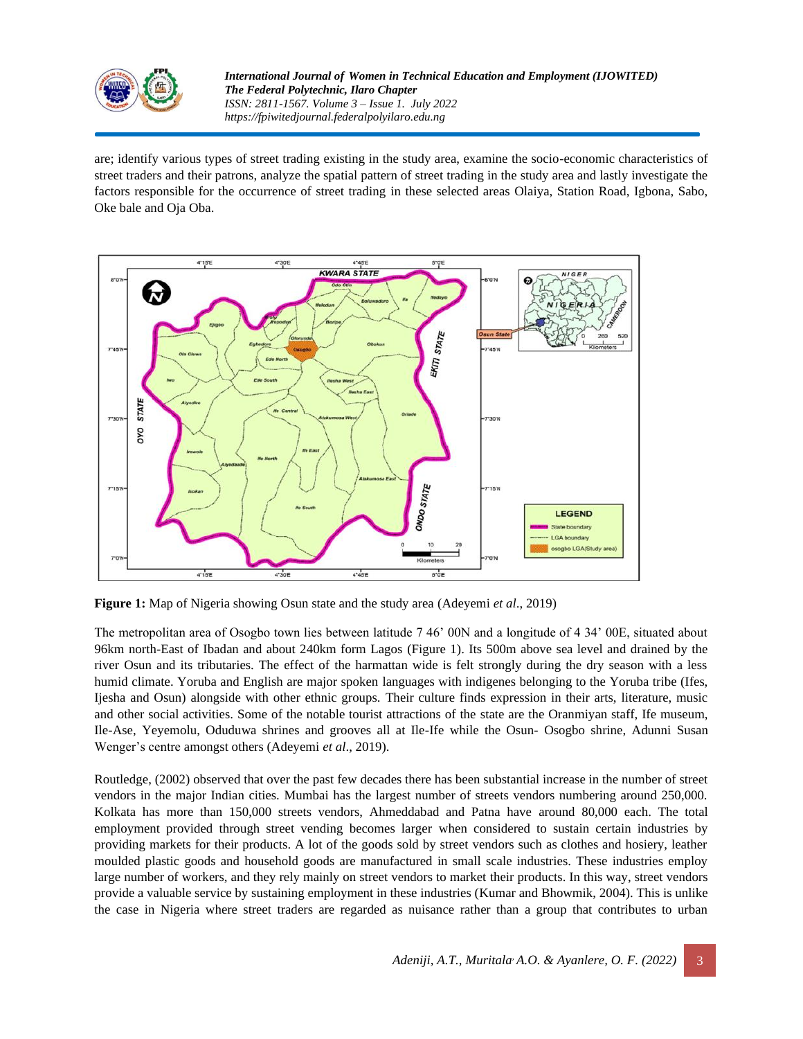

are; identify various types of street trading existing in the study area, examine the socio-economic characteristics of street traders and their patrons, analyze the spatial pattern of street trading in the study area and lastly investigate the factors responsible for the occurrence of street trading in these selected areas Olaiya, Station Road, Igbona, Sabo, Oke bale and Oja Oba.



**Figure 1:** Map of Nigeria showing Osun state and the study area (Adeyemi *et al*., 2019)

The metropolitan area of Osogbo town lies between latitude 7 46' 00N and a longitude of 4 34' 00E, situated about 96km north-East of Ibadan and about 240km form Lagos (Figure 1). Its 500m above sea level and drained by the river Osun and its tributaries. The effect of the harmattan wide is felt strongly during the dry season with a less humid climate. Yoruba and English are major spoken languages with indigenes belonging to the Yoruba tribe (Ifes, Ijesha and Osun) alongside with other ethnic groups. Their culture finds expression in their arts, literature, music and other social activities. Some of the notable tourist attractions of the state are the Oranmiyan staff, Ife museum, Ile-Ase, Yeyemolu, Oduduwa shrines and grooves all at Ile-Ife while the Osun- Osogbo shrine, Adunni Susan Wenger's centre amongst others (Adeyemi *et al*., 2019).

Routledge, (2002) observed that over the past few decades there has been substantial increase in the number of street vendors in the major Indian cities. Mumbai has the largest number of streets vendors numbering around 250,000. Kolkata has more than 150,000 streets vendors, Ahmeddabad and Patna have around 80,000 each. The total employment provided through street vending becomes larger when considered to sustain certain industries by providing markets for their products. A lot of the goods sold by street vendors such as clothes and hosiery, leather moulded plastic goods and household goods are manufactured in small scale industries. These industries employ large number of workers, and they rely mainly on street vendors to market their products. In this way, street vendors provide a valuable service by sustaining employment in these industries (Kumar and Bhowmik, 2004). This is unlike the case in Nigeria where street traders are regarded as nuisance rather than a group that contributes to urban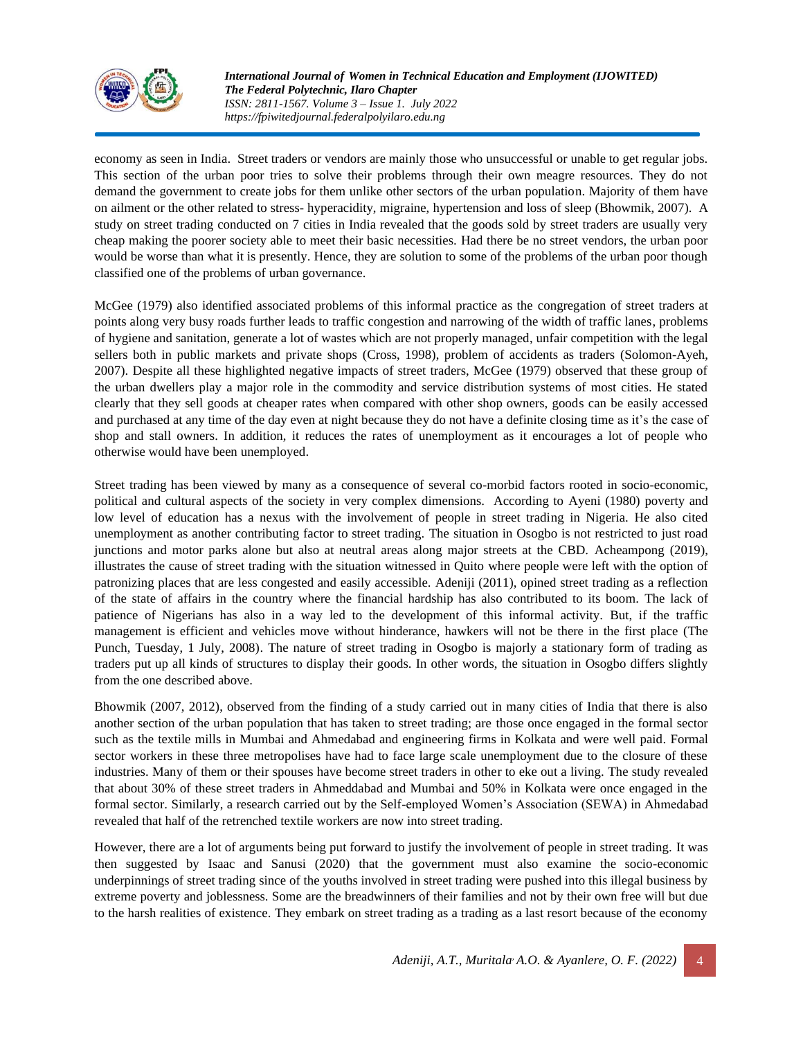

economy as seen in India. Street traders or vendors are mainly those who unsuccessful or unable to get regular jobs. This section of the urban poor tries to solve their problems through their own meagre resources. They do not demand the government to create jobs for them unlike other sectors of the urban population. Majority of them have on ailment or the other related to stress- hyperacidity, migraine, hypertension and loss of sleep (Bhowmik, 2007). A study on street trading conducted on 7 cities in India revealed that the goods sold by street traders are usually very cheap making the poorer society able to meet their basic necessities. Had there be no street vendors, the urban poor would be worse than what it is presently. Hence, they are solution to some of the problems of the urban poor though classified one of the problems of urban governance.

McGee (1979) also identified associated problems of this informal practice as the congregation of street traders at points along very busy roads further leads to traffic congestion and narrowing of the width of traffic lanes, problems of hygiene and sanitation, generate a lot of wastes which are not properly managed, unfair competition with the legal sellers both in public markets and private shops (Cross, 1998), problem of accidents as traders (Solomon-Ayeh, 2007). Despite all these highlighted negative impacts of street traders, McGee (1979) observed that these group of the urban dwellers play a major role in the commodity and service distribution systems of most cities. He stated clearly that they sell goods at cheaper rates when compared with other shop owners, goods can be easily accessed and purchased at any time of the day even at night because they do not have a definite closing time as it's the case of shop and stall owners. In addition, it reduces the rates of unemployment as it encourages a lot of people who otherwise would have been unemployed.

Street trading has been viewed by many as a consequence of several co-morbid factors rooted in socio-economic, political and cultural aspects of the society in very complex dimensions. According to Ayeni (1980) poverty and low level of education has a nexus with the involvement of people in street trading in Nigeria. He also cited unemployment as another contributing factor to street trading. The situation in Osogbo is not restricted to just road junctions and motor parks alone but also at neutral areas along major streets at the CBD. Acheampong (2019), illustrates the cause of street trading with the situation witnessed in Quito where people were left with the option of patronizing places that are less congested and easily accessible. Adeniji (2011), opined street trading as a reflection of the state of affairs in the country where the financial hardship has also contributed to its boom. The lack of patience of Nigerians has also in a way led to the development of this informal activity. But, if the traffic management is efficient and vehicles move without hinderance, hawkers will not be there in the first place (The Punch, Tuesday, 1 July, 2008). The nature of street trading in Osogbo is majorly a stationary form of trading as traders put up all kinds of structures to display their goods. In other words, the situation in Osogbo differs slightly from the one described above.

Bhowmik (2007, 2012), observed from the finding of a study carried out in many cities of India that there is also another section of the urban population that has taken to street trading; are those once engaged in the formal sector such as the textile mills in Mumbai and Ahmedabad and engineering firms in Kolkata and were well paid. Formal sector workers in these three metropolises have had to face large scale unemployment due to the closure of these industries. Many of them or their spouses have become street traders in other to eke out a living. The study revealed that about 30% of these street traders in Ahmeddabad and Mumbai and 50% in Kolkata were once engaged in the formal sector. Similarly, a research carried out by the Self-employed Women's Association (SEWA) in Ahmedabad revealed that half of the retrenched textile workers are now into street trading.

However, there are a lot of arguments being put forward to justify the involvement of people in street trading. It was then suggested by Isaac and Sanusi (2020) that the government must also examine the socio-economic underpinnings of street trading since of the youths involved in street trading were pushed into this illegal business by extreme poverty and joblessness. Some are the breadwinners of their families and not by their own free will but due to the harsh realities of existence. They embark on street trading as a trading as a last resort because of the economy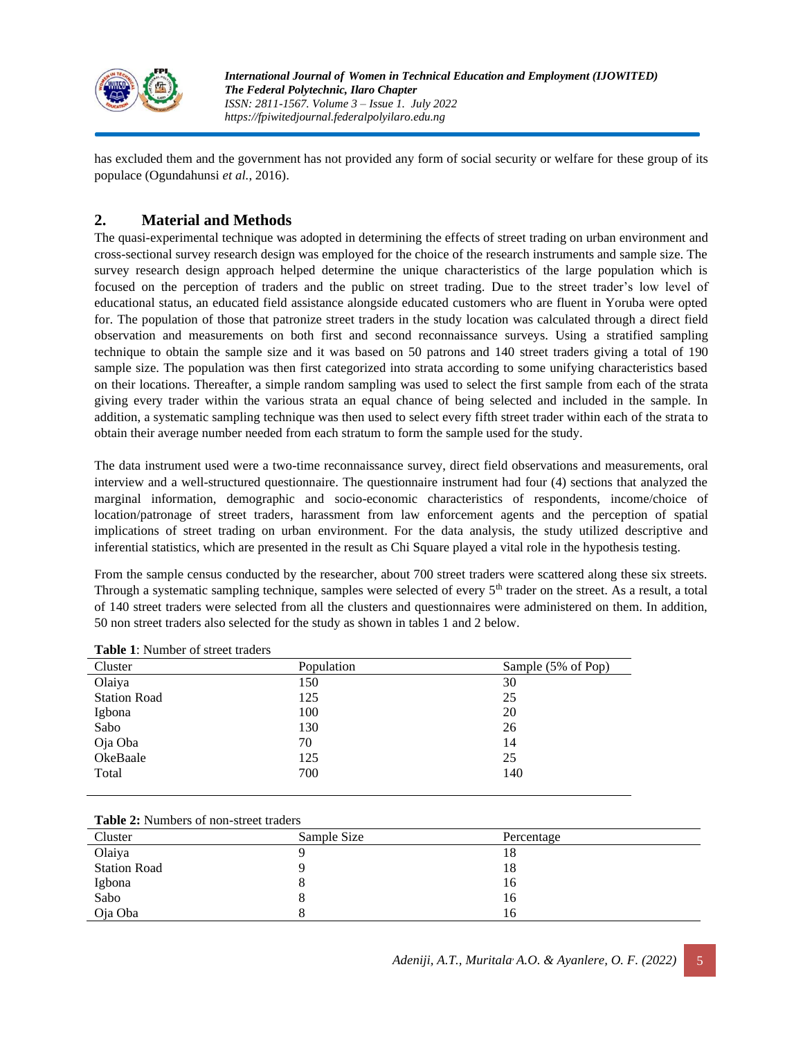

has excluded them and the government has not provided any form of social security or welfare for these group of its populace (Ogundahunsi *et al.*, 2016).

## **2. Material and Methods**

The quasi-experimental technique was adopted in determining the effects of street trading on urban environment and cross-sectional survey research design was employed for the choice of the research instruments and sample size. The survey research design approach helped determine the unique characteristics of the large population which is focused on the perception of traders and the public on street trading. Due to the street trader's low level of educational status, an educated field assistance alongside educated customers who are fluent in Yoruba were opted for. The population of those that patronize street traders in the study location was calculated through a direct field observation and measurements on both first and second reconnaissance surveys. Using a stratified sampling technique to obtain the sample size and it was based on 50 patrons and 140 street traders giving a total of 190 sample size. The population was then first categorized into strata according to some unifying characteristics based on their locations. Thereafter, a simple random sampling was used to select the first sample from each of the strata giving every trader within the various strata an equal chance of being selected and included in the sample. In addition, a systematic sampling technique was then used to select every fifth street trader within each of the strata to obtain their average number needed from each stratum to form the sample used for the study.

The data instrument used were a two-time reconnaissance survey, direct field observations and measurements, oral interview and a well-structured questionnaire. The questionnaire instrument had four (4) sections that analyzed the marginal information, demographic and socio-economic characteristics of respondents, income/choice of location/patronage of street traders, harassment from law enforcement agents and the perception of spatial implications of street trading on urban environment. For the data analysis, the study utilized descriptive and inferential statistics, which are presented in the result as Chi Square played a vital role in the hypothesis testing.

From the sample census conducted by the researcher, about 700 street traders were scattered along these six streets. Through a systematic sampling technique, samples were selected of every  $5<sup>th</sup>$  trader on the street. As a result, a total of 140 street traders were selected from all the clusters and questionnaires were administered on them. In addition, 50 non street traders also selected for the study as shown in tables 1 and 2 below.

| Tuon 1. Ruhtoel of succeduacis |            |                    |
|--------------------------------|------------|--------------------|
| Cluster                        | Population | Sample (5% of Pop) |
| Olaiya                         | 150        | 30                 |
| <b>Station Road</b>            | 125        | 25                 |
| Igbona                         | 100        | 20                 |
| Sabo                           | 130        | 26                 |
| Oja Oba                        | 70         | 14                 |
| OkeBaale                       | 125        | 25                 |
| Total                          | 700        | 140                |
|                                |            |                    |

**Table 1**: Number of street traders

|  | <b>Table 2:</b> Numbers of non-street traders |  |
|--|-----------------------------------------------|--|
|  |                                               |  |

| Cluster             | Sample Size | Percentage |
|---------------------|-------------|------------|
| Olaiya              |             | 18         |
| <b>Station Road</b> |             | 18         |
| Igbona              |             | 16         |
| Sabo                |             | 16         |
| Oja Oba             |             | 16.        |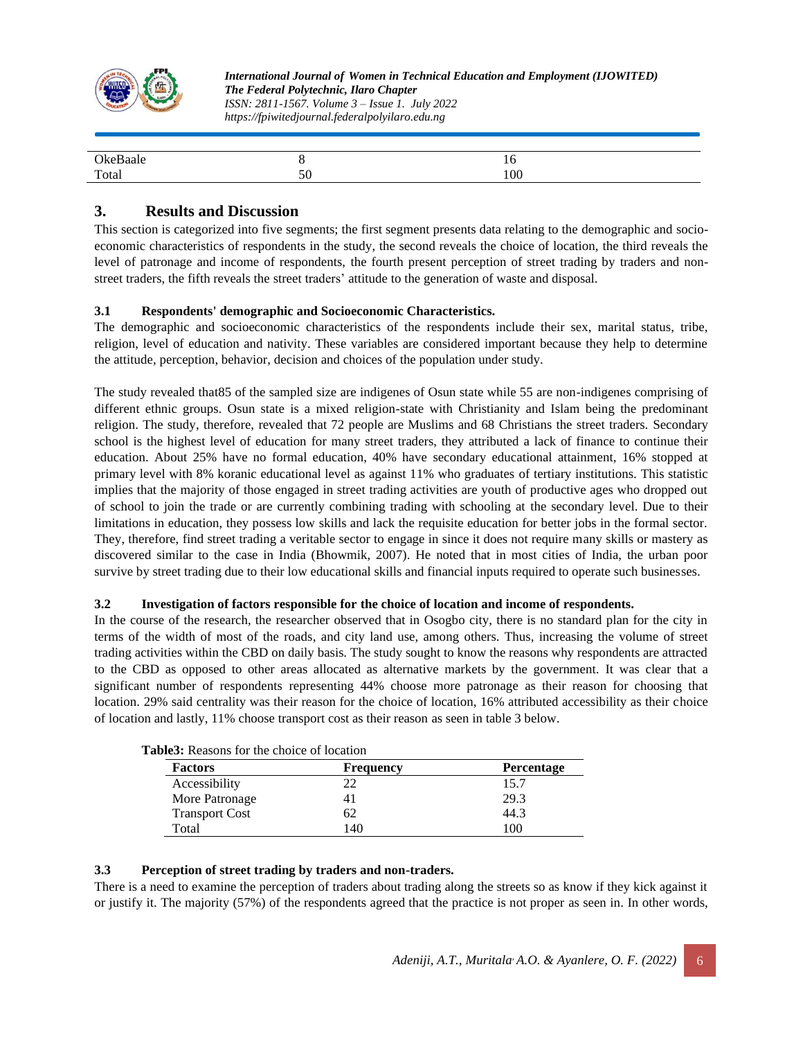

| $\gamma_{k}$ |                     | 1 V<br>$\sim$ |  |
|--------------|---------------------|---------------|--|
| Total        | $\sim$ $\sim$<br>υU | 100           |  |

## **3. Results and Discussion**

This section is categorized into five segments; the first segment presents data relating to the demographic and socioeconomic characteristics of respondents in the study, the second reveals the choice of location, the third reveals the level of patronage and income of respondents, the fourth present perception of street trading by traders and nonstreet traders, the fifth reveals the street traders' attitude to the generation of waste and disposal.

#### **3.1 Respondents' demographic and Socioeconomic Characteristics.**

The demographic and socioeconomic characteristics of the respondents include their sex, marital status, tribe, religion, level of education and nativity. These variables are considered important because they help to determine the attitude, perception, behavior, decision and choices of the population under study.

The study revealed that85 of the sampled size are indigenes of Osun state while 55 are non-indigenes comprising of different ethnic groups. Osun state is a mixed religion-state with Christianity and Islam being the predominant religion. The study, therefore, revealed that 72 people are Muslims and 68 Christians the street traders. Secondary school is the highest level of education for many street traders, they attributed a lack of finance to continue their education. About 25% have no formal education, 40% have secondary educational attainment, 16% stopped at primary level with 8% koranic educational level as against 11% who graduates of tertiary institutions. This statistic implies that the majority of those engaged in street trading activities are youth of productive ages who dropped out of school to join the trade or are currently combining trading with schooling at the secondary level. Due to their limitations in education, they possess low skills and lack the requisite education for better jobs in the formal sector. They, therefore, find street trading a veritable sector to engage in since it does not require many skills or mastery as discovered similar to the case in India (Bhowmik, 2007). He noted that in most cities of India, the urban poor survive by street trading due to their low educational skills and financial inputs required to operate such businesses.

#### **3.2 Investigation of factors responsible for the choice of location and income of respondents.**

In the course of the research, the researcher observed that in Osogbo city, there is no standard plan for the city in terms of the width of most of the roads, and city land use, among others. Thus, increasing the volume of street trading activities within the CBD on daily basis. The study sought to know the reasons why respondents are attracted to the CBD as opposed to other areas allocated as alternative markets by the government. It was clear that a significant number of respondents representing 44% choose more patronage as their reason for choosing that location. 29% said centrality was their reason for the choice of location, 16% attributed accessibility as their choice of location and lastly, 11% choose transport cost as their reason as seen in table 3 below.

| <b>Factors</b>        | <b>Frequency</b> | <b>Percentage</b> |
|-----------------------|------------------|-------------------|
| Accessibility         | 22               | 15.7              |
| More Patronage        |                  | 29.3              |
| <b>Transport Cost</b> | 62               | 44.3              |
| Total                 | 140              | 100               |

| <b>Table3:</b> Reasons for the choice of location |  |  |  |  |  |  |  |
|---------------------------------------------------|--|--|--|--|--|--|--|
|---------------------------------------------------|--|--|--|--|--|--|--|

#### **3.3 Perception of street trading by traders and non-traders.**

There is a need to examine the perception of traders about trading along the streets so as know if they kick against it or justify it. The majority (57%) of the respondents agreed that the practice is not proper as seen in. In other words,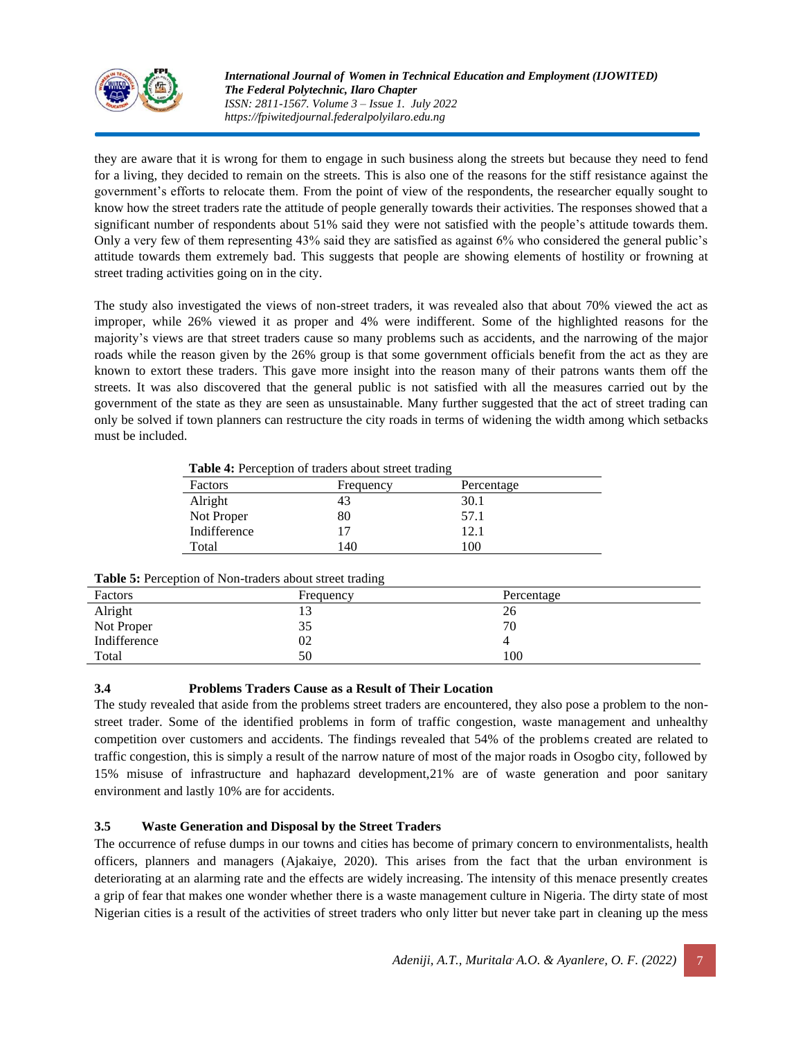

they are aware that it is wrong for them to engage in such business along the streets but because they need to fend for a living, they decided to remain on the streets. This is also one of the reasons for the stiff resistance against the government's efforts to relocate them. From the point of view of the respondents, the researcher equally sought to know how the street traders rate the attitude of people generally towards their activities. The responses showed that a significant number of respondents about 51% said they were not satisfied with the people's attitude towards them. Only a very few of them representing 43% said they are satisfied as against 6% who considered the general public's attitude towards them extremely bad. This suggests that people are showing elements of hostility or frowning at street trading activities going on in the city.

The study also investigated the views of non-street traders, it was revealed also that about 70% viewed the act as improper, while 26% viewed it as proper and 4% were indifferent. Some of the highlighted reasons for the majority's views are that street traders cause so many problems such as accidents, and the narrowing of the major roads while the reason given by the 26% group is that some government officials benefit from the act as they are known to extort these traders. This gave more insight into the reason many of their patrons wants them off the streets. It was also discovered that the general public is not satisfied with all the measures carried out by the government of the state as they are seen as unsustainable. Many further suggested that the act of street trading can only be solved if town planners can restructure the city roads in terms of widening the width among which setbacks must be included.

|  |  | Table 4: Perception of traders about street trading |  |
|--|--|-----------------------------------------------------|--|
|  |  |                                                     |  |

|              |           | ້          |  |
|--------------|-----------|------------|--|
| Factors      | Frequency | Percentage |  |
| Alright      | 43        | 30.1       |  |
| Not Proper   | 80        | 57.1       |  |
| Indifference |           | 12.1       |  |
| Total        | 140       | 100        |  |
|              |           |            |  |

| Table 5: Perception of Non-traders about street trading |  |  |  |  |  |  |
|---------------------------------------------------------|--|--|--|--|--|--|
|---------------------------------------------------------|--|--|--|--|--|--|

| Factors               | Frequency | Percentage |
|-----------------------|-----------|------------|
|                       | 13        | 26         |
| Alright<br>Not Proper | 35        | 70         |
| Indifference          | 02        |            |
| Total                 | 50        | 100        |

#### **3.4 Problems Traders Cause as a Result of Their Location**

The study revealed that aside from the problems street traders are encountered, they also pose a problem to the nonstreet trader. Some of the identified problems in form of traffic congestion, waste management and unhealthy competition over customers and accidents. The findings revealed that 54% of the problems created are related to traffic congestion, this is simply a result of the narrow nature of most of the major roads in Osogbo city, followed by 15% misuse of infrastructure and haphazard development,21% are of waste generation and poor sanitary environment and lastly 10% are for accidents.

#### **3.5 Waste Generation and Disposal by the Street Traders**

The occurrence of refuse dumps in our towns and cities has become of primary concern to environmentalists, health officers, planners and managers (Ajakaiye, 2020). This arises from the fact that the urban environment is deteriorating at an alarming rate and the effects are widely increasing. The intensity of this menace presently creates a grip of fear that makes one wonder whether there is a waste management culture in Nigeria. The dirty state of most Nigerian cities is a result of the activities of street traders who only litter but never take part in cleaning up the mess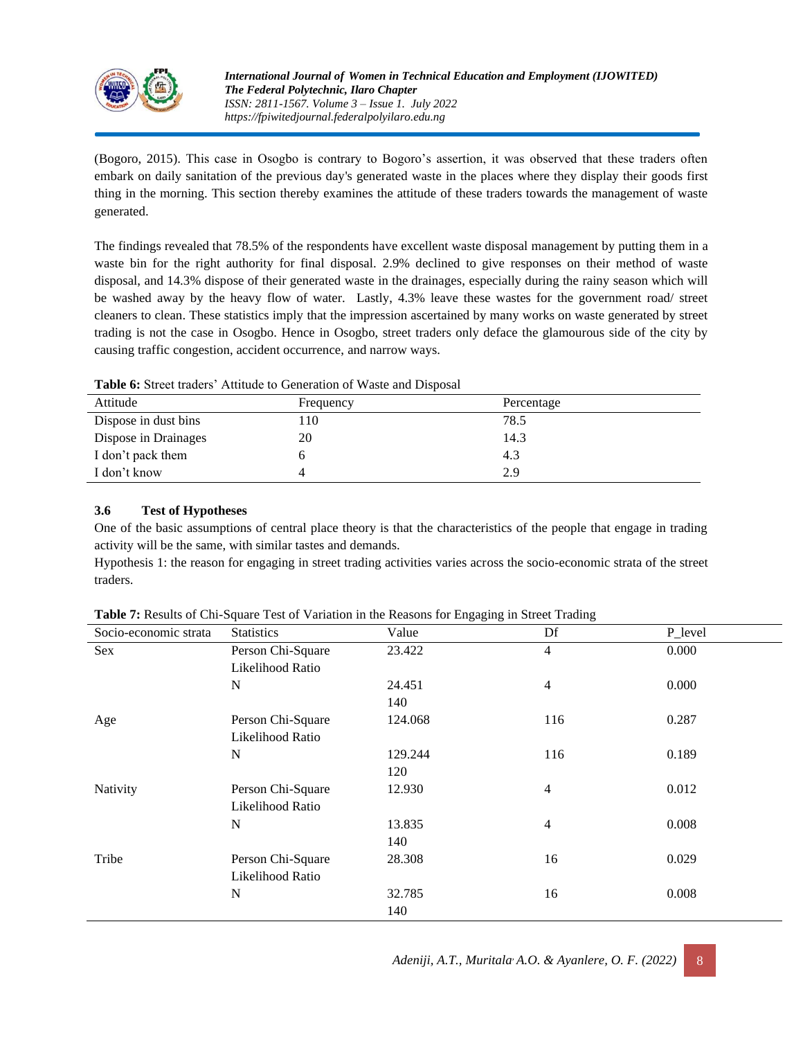

(Bogoro, 2015). This case in Osogbo is contrary to Bogoro's assertion, it was observed that these traders often embark on daily sanitation of the previous day's generated waste in the places where they display their goods first thing in the morning. This section thereby examines the attitude of these traders towards the management of waste generated.

The findings revealed that 78.5% of the respondents have excellent waste disposal management by putting them in a waste bin for the right authority for final disposal. 2.9% declined to give responses on their method of waste disposal, and 14.3% dispose of their generated waste in the drainages, especially during the rainy season which will be washed away by the heavy flow of water. Lastly, 4.3% leave these wastes for the government road/ street cleaners to clean. These statistics imply that the impression ascertained by many works on waste generated by street trading is not the case in Osogbo. Hence in Osogbo, street traders only deface the glamourous side of the city by causing traffic congestion, accident occurrence, and narrow ways.

| <b>THERE</b> OF BROW HUGHER THRIGGE TO GENERATED TO THE EXPLOSION |           |            |
|-------------------------------------------------------------------|-----------|------------|
| Attitude                                                          | Frequency | Percentage |
| Dispose in dust bins                                              | 110       | 78.5       |
| Dispose in Drainages                                              | 20        | 14.3       |
| I don't pack them                                                 |           | 4.3        |
| I don't know                                                      |           | 2.9        |

**Table 6:** Street traders' Attitude to Generation of Waste and Disposal

### **3.6 Test of Hypotheses**

One of the basic assumptions of central place theory is that the characteristics of the people that engage in trading activity will be the same, with similar tastes and demands.

Hypothesis 1: the reason for engaging in street trading activities varies across the socio-economic strata of the street traders.

| Table 7: Results of Chi-Square Test of Variation in the Reasons for Engaging in Street Trading |  |  |  |
|------------------------------------------------------------------------------------------------|--|--|--|
|------------------------------------------------------------------------------------------------|--|--|--|

| Socio-economic strata | <b>Statistics</b> | Value   | Df             | P_level |
|-----------------------|-------------------|---------|----------------|---------|
| Sex                   | Person Chi-Square | 23.422  | 4              | 0.000   |
|                       | Likelihood Ratio  |         |                |         |
|                       | N                 | 24.451  | $\overline{4}$ | 0.000   |
|                       |                   | 140     |                |         |
| Age                   | Person Chi-Square | 124.068 | 116            | 0.287   |
|                       | Likelihood Ratio  |         |                |         |
|                       | N                 | 129.244 | 116            | 0.189   |
|                       |                   | 120     |                |         |
| Nativity              | Person Chi-Square | 12.930  | 4              | 0.012   |
|                       | Likelihood Ratio  |         |                |         |
|                       | N                 | 13.835  | 4              | 0.008   |
|                       |                   | 140     |                |         |
| Tribe                 | Person Chi-Square | 28.308  | 16             | 0.029   |
|                       | Likelihood Ratio  |         |                |         |
|                       | N                 | 32.785  | 16             | 0.008   |
|                       |                   | 140     |                |         |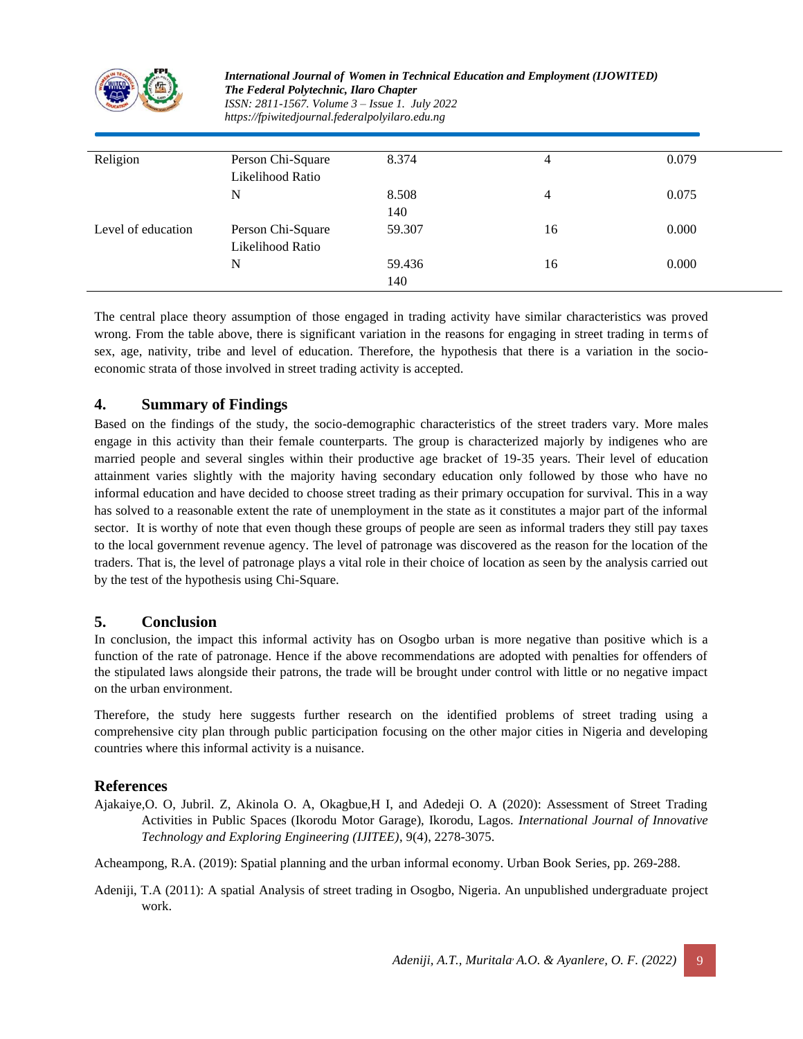

| Religion           | Person Chi-Square | 8.374  | 4  | 0.079 |
|--------------------|-------------------|--------|----|-------|
|                    | Likelihood Ratio  |        |    |       |
|                    | N                 | 8.508  | 4  | 0.075 |
|                    |                   | 140    |    |       |
| Level of education | Person Chi-Square | 59.307 | 16 | 0.000 |
|                    | Likelihood Ratio  |        |    |       |
|                    | N                 | 59.436 | 16 | 0.000 |
|                    |                   | 140    |    |       |
|                    |                   |        |    |       |

The central place theory assumption of those engaged in trading activity have similar characteristics was proved wrong. From the table above, there is significant variation in the reasons for engaging in street trading in terms of sex, age, nativity, tribe and level of education. Therefore, the hypothesis that there is a variation in the socioeconomic strata of those involved in street trading activity is accepted.

## **4. Summary of Findings**

Based on the findings of the study, the socio-demographic characteristics of the street traders vary. More males engage in this activity than their female counterparts. The group is characterized majorly by indigenes who are married people and several singles within their productive age bracket of 19-35 years. Their level of education attainment varies slightly with the majority having secondary education only followed by those who have no informal education and have decided to choose street trading as their primary occupation for survival. This in a way has solved to a reasonable extent the rate of unemployment in the state as it constitutes a major part of the informal sector. It is worthy of note that even though these groups of people are seen as informal traders they still pay taxes to the local government revenue agency. The level of patronage was discovered as the reason for the location of the traders. That is, the level of patronage plays a vital role in their choice of location as seen by the analysis carried out by the test of the hypothesis using Chi-Square.

### **5. Conclusion**

In conclusion, the impact this informal activity has on Osogbo urban is more negative than positive which is a function of the rate of patronage. Hence if the above recommendations are adopted with penalties for offenders of the stipulated laws alongside their patrons, the trade will be brought under control with little or no negative impact on the urban environment.

Therefore, the study here suggests further research on the identified problems of street trading using a comprehensive city plan through public participation focusing on the other major cities in Nigeria and developing countries where this informal activity is a nuisance.

### **References**

- Ajakaiye,O. O, Jubril. Z, Akinola O. A, Okagbue,H I, and Adedeji O. A (2020): Assessment of Street Trading Activities in Public Spaces (Ikorodu Motor Garage), Ikorodu, Lagos. *International Journal of Innovative Technology and Exploring Engineering (IJITEE)*, 9(4), 2278-3075.
- Acheampong, R.A. (2019): Spatial planning and the urban informal economy. Urban Book Series, pp. 269-288.
- Adeniji, T.A (2011): A spatial Analysis of street trading in Osogbo, Nigeria. An unpublished undergraduate project work.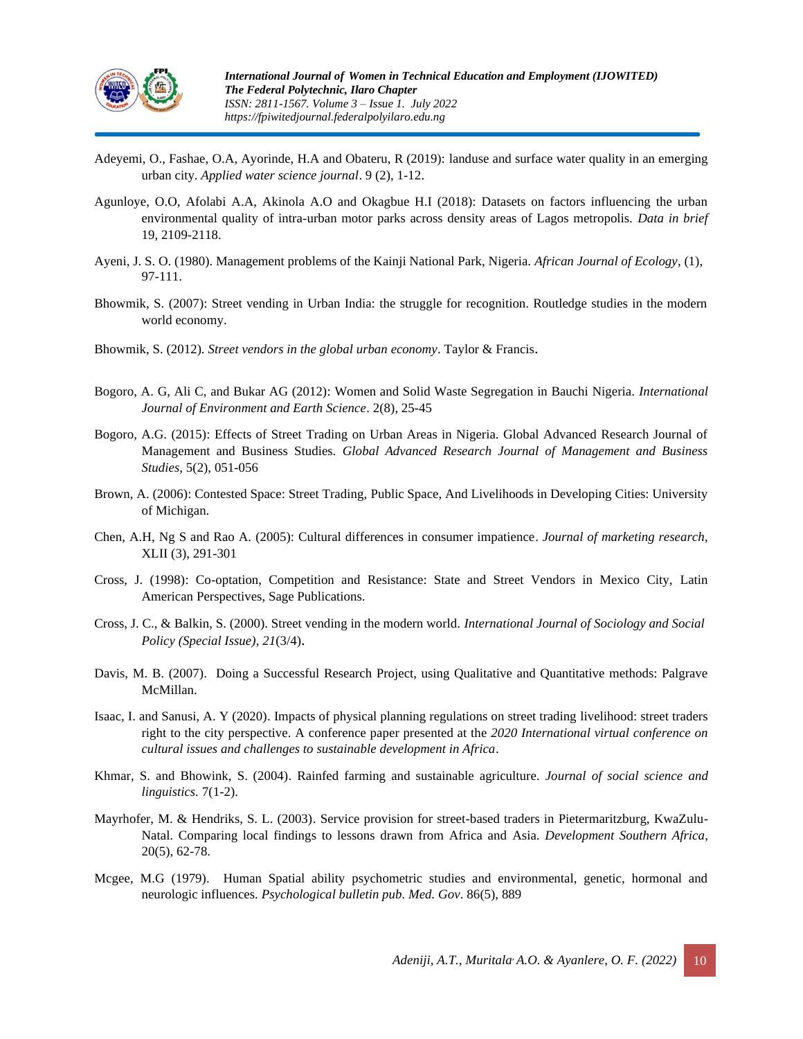

- Adeyemi, O., Fashae, O.A, Ayorinde, H.A and Obateru, R (2019): landuse and surface water quality in an emerging urban city. *Applied water science journal*. 9 (2), 1-12.
- Agunloye, O.O, Afolabi A.A, Akinola A.O and Okagbue H.I (2018): Datasets on factors influencing the urban environmental quality of intra-urban motor parks across density areas of Lagos metropolis. *Data in brief* 19, 2109-2118.
- Ayeni, J. S. O. (1980). Management problems of the Kainji National Park, Nigeria. *African Journal of Ecology*, (1), 97-111.
- Bhowmik, S. (2007): Street vending in Urban India: the struggle for recognition. Routledge studies in the modern world economy.
- Bhowmik, S. (2012). *Street vendors in the global urban economy*. Taylor & Francis.
- Bogoro, A. G, Ali C, and Bukar AG (2012): Women and Solid Waste Segregation in Bauchi Nigeria. *International Journal of Environment and Earth Science*. 2(8), 25-45
- Bogoro, A.G. (2015): Effects of Street Trading on Urban Areas in Nigeria. Global Advanced Research Journal of Management and Business Studies. *Global Advanced Research Journal of Management and Business Studies*, 5(2), 051-056
- Brown, A. (2006): Contested Space: Street Trading, Public Space, And Livelihoods in Developing Cities: University of Michigan.
- Chen, A.H, Ng S and Rao A. (2005): Cultural differences in consumer impatience. *Journal of marketing research,* XLII (3), 291-301
- Cross, J. (1998): Co-optation, Competition and Resistance: State and Street Vendors in Mexico City, Latin American Perspectives, Sage Publications.
- Cross, J. C., & Balkin, S. (2000). Street vending in the modern world. *International Journal of Sociology and Social Policy (Special Issue)*, *21*(3/4).
- Davis, M. B. (2007). Doing a Successful Research Project, using Qualitative and Quantitative methods: Palgrave McMillan.
- Isaac, I. and Sanusi, A. Y (2020). Impacts of physical planning regulations on street trading livelihood: street traders right to the city perspective. A conference paper presented at the *2020 International virtual conference on cultural issues and challenges to sustainable development in Africa*.
- Khmar, S. and Bhowink, S. (2004). Rainfed farming and sustainable agriculture. *Journal of social science and linguistics.* 7(1-2).
- Mayrhofer, M. & Hendriks, S. L. (2003). Service provision for street-based traders in Pietermaritzburg, KwaZulu-Natal. Comparing local findings to lessons drawn from Africa and Asia. *Development Southern Africa*, 20(5), 62-78.
- Mcgee, M.G (1979). Human Spatial ability psychometric studies and environmental, genetic, hormonal and neurologic influences. *Psychological bulletin pub. Med. Gov*. 86(5), 889